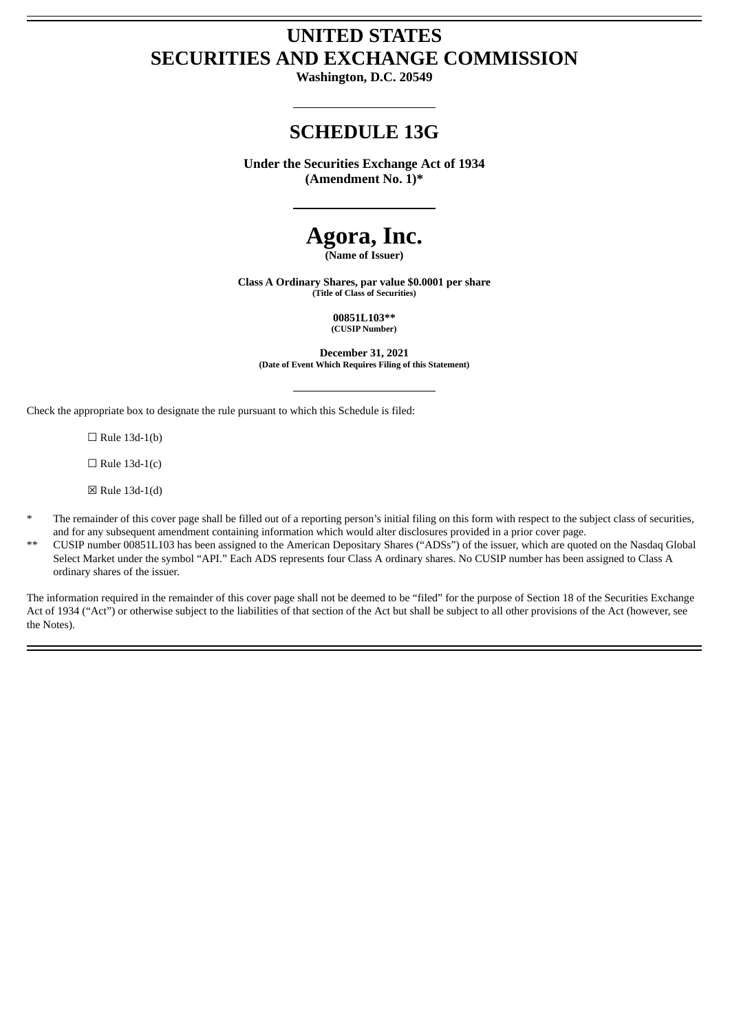# **UNITED STATES SECURITIES AND EXCHANGE COMMISSION**

**Washington, D.C. 20549**

# **SCHEDULE 13G**

**Under the Securities Exchange Act of 1934 (Amendment No. 1)\***

# **Agora, Inc.**

**(Name of Issuer)**

**Class A Ordinary Shares, par value \$0.0001 per share (Title of Class of Securities)**

> **00851L103\*\* (CUSIP Number)**

**December 31, 2021 (Date of Event Which Requires Filing of this Statement)**

Check the appropriate box to designate the rule pursuant to which this Schedule is filed:

 $\Box$  Rule 13d-1(b)

 $\Box$  Rule 13d-1(c)

☒ Rule 13d-1(d)

- The remainder of this cover page shall be filled out of a reporting person's initial filing on this form with respect to the subject class of securities, and for any subsequent amendment containing information which would alter disclosures provided in a prior cover page.
- \*\* CUSIP number 00851L103 has been assigned to the American Depositary Shares ("ADSs") of the issuer, which are quoted on the Nasdaq Global Select Market under the symbol "API." Each ADS represents four Class A ordinary shares. No CUSIP number has been assigned to Class A ordinary shares of the issuer.

The information required in the remainder of this cover page shall not be deemed to be "filed" for the purpose of Section 18 of the Securities Exchange Act of 1934 ("Act") or otherwise subject to the liabilities of that section of the Act but shall be subject to all other provisions of the Act (however, see the Notes).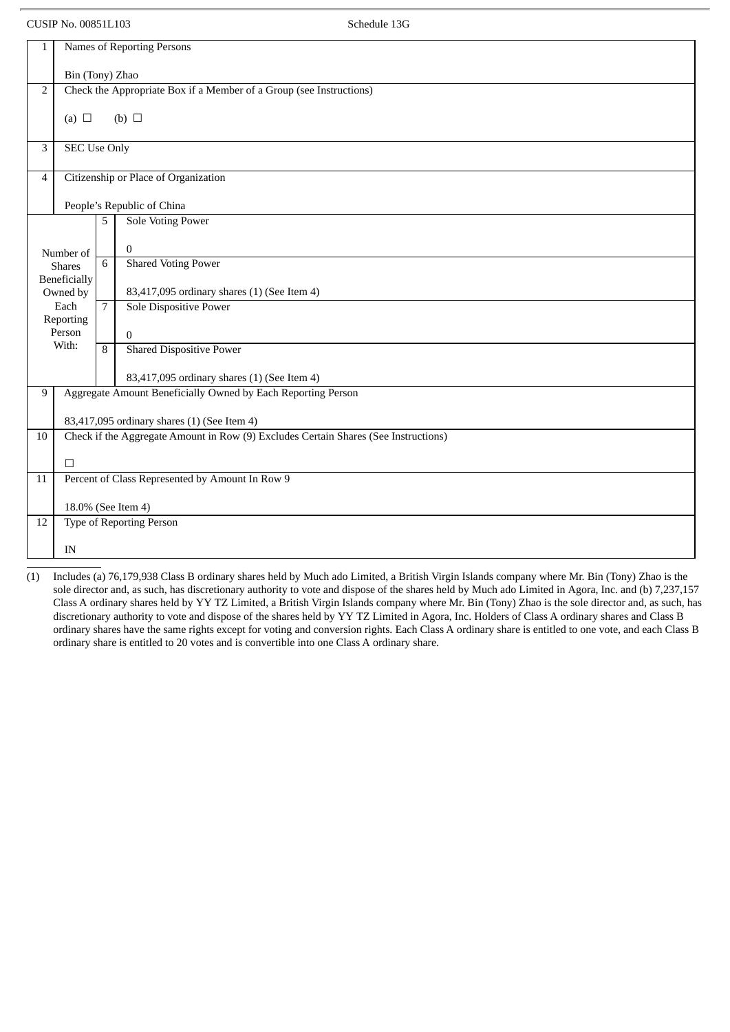CUSIP No. 00851L103 Schedule 13G

| $\mathbf{1}$                    | Names of Reporting Persons                                                          |                |                                                 |  |  |  |  |  |
|---------------------------------|-------------------------------------------------------------------------------------|----------------|-------------------------------------------------|--|--|--|--|--|
|                                 | Bin (Tony) Zhao                                                                     |                |                                                 |  |  |  |  |  |
| $\overline{2}$                  | Check the Appropriate Box if a Member of a Group (see Instructions)                 |                |                                                 |  |  |  |  |  |
|                                 | (a) $\Box$<br>(b) $\Box$                                                            |                |                                                 |  |  |  |  |  |
| 3                               | <b>SEC Use Only</b>                                                                 |                |                                                 |  |  |  |  |  |
| 4                               | Citizenship or Place of Organization                                                |                |                                                 |  |  |  |  |  |
|                                 | People's Republic of China                                                          |                |                                                 |  |  |  |  |  |
| <b>Sole Voting Power</b><br>5   |                                                                                     |                |                                                 |  |  |  |  |  |
|                                 | Number of                                                                           |                | $\mathbf{0}$                                    |  |  |  |  |  |
| <b>Shares</b>                   |                                                                                     | 6              | <b>Shared Voting Power</b>                      |  |  |  |  |  |
| <b>Beneficially</b><br>Owned by |                                                                                     |                | 83,417,095 ordinary shares (1) (See Item 4)     |  |  |  |  |  |
|                                 | Each                                                                                | $\overline{7}$ | Sole Dispositive Power                          |  |  |  |  |  |
| Reporting<br>Person             |                                                                                     |                | $\mathbf{0}$                                    |  |  |  |  |  |
|                                 | With:                                                                               | 8              | <b>Shared Dispositive Power</b>                 |  |  |  |  |  |
|                                 |                                                                                     |                | 83,417,095 ordinary shares (1) (See Item 4)     |  |  |  |  |  |
| 9                               | Aggregate Amount Beneficially Owned by Each Reporting Person                        |                |                                                 |  |  |  |  |  |
|                                 |                                                                                     |                | 83,417,095 ordinary shares (1) (See Item 4)     |  |  |  |  |  |
| 10                              | Check if the Aggregate Amount in Row (9) Excludes Certain Shares (See Instructions) |                |                                                 |  |  |  |  |  |
|                                 | П                                                                                   |                |                                                 |  |  |  |  |  |
| 11                              |                                                                                     |                | Percent of Class Represented by Amount In Row 9 |  |  |  |  |  |
|                                 | 18.0% (See Item 4)                                                                  |                |                                                 |  |  |  |  |  |
| 12                              |                                                                                     |                | <b>Type of Reporting Person</b>                 |  |  |  |  |  |
|                                 | IN                                                                                  |                |                                                 |  |  |  |  |  |

(1) Includes (a) 76,179,938 Class B ordinary shares held by Much ado Limited, a British Virgin Islands company where Mr. Bin (Tony) Zhao is the sole director and, as such, has discretionary authority to vote and dispose of the shares held by Much ado Limited in Agora, Inc. and (b) 7,237,157 Class A ordinary shares held by YY TZ Limited, a British Virgin Islands company where Mr. Bin (Tony) Zhao is the sole director and, as such, has discretionary authority to vote and dispose of the shares held by YY TZ Limited in Agora, Inc. Holders of Class A ordinary shares and Class B ordinary shares have the same rights except for voting and conversion rights. Each Class A ordinary share is entitled to one vote, and each Class B ordinary share is entitled to 20 votes and is convertible into one Class A ordinary share.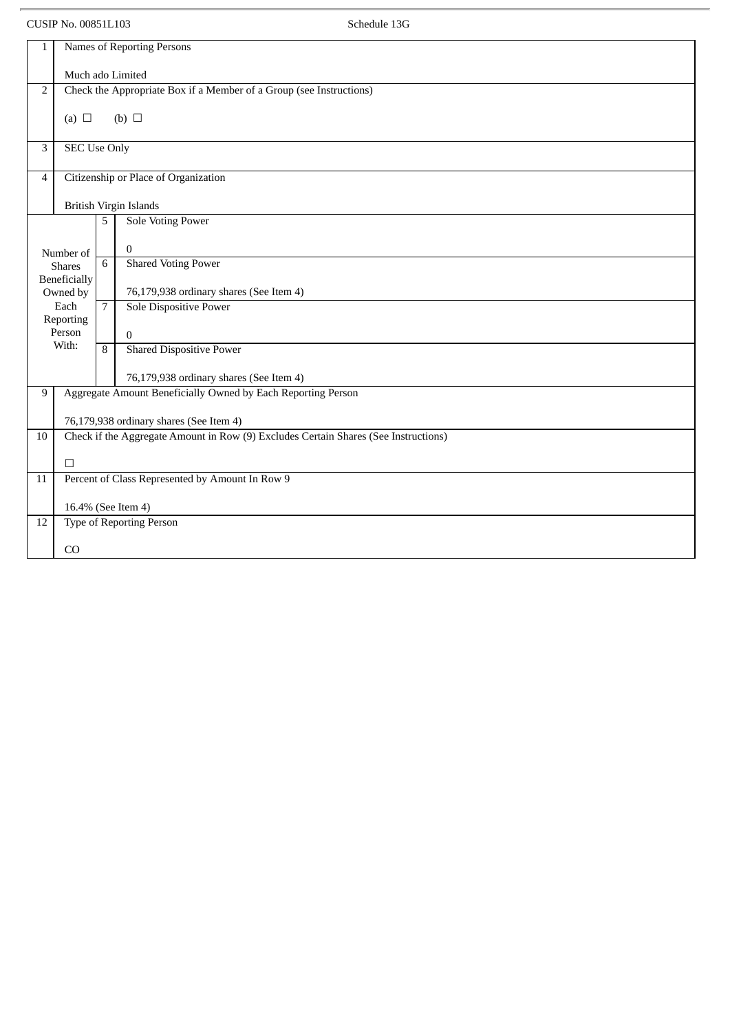CUSIP No. 00851L103 Schedule 13G

| $\mathbf{1}$             | Names of Reporting Persons                                                              |                |                                                 |  |  |  |  |  |
|--------------------------|-----------------------------------------------------------------------------------------|----------------|-------------------------------------------------|--|--|--|--|--|
|                          |                                                                                         |                |                                                 |  |  |  |  |  |
| $\overline{2}$           | Much ado Limited<br>Check the Appropriate Box if a Member of a Group (see Instructions) |                |                                                 |  |  |  |  |  |
|                          |                                                                                         |                |                                                 |  |  |  |  |  |
|                          | (a) $\Box$<br>(b) $\Box$                                                                |                |                                                 |  |  |  |  |  |
| 3                        | <b>SEC Use Only</b>                                                                     |                |                                                 |  |  |  |  |  |
| $\overline{4}$           | Citizenship or Place of Organization                                                    |                |                                                 |  |  |  |  |  |
|                          | British Virgin Islands                                                                  |                |                                                 |  |  |  |  |  |
| Sole Voting Power<br>5   |                                                                                         |                |                                                 |  |  |  |  |  |
|                          | Number of                                                                               |                | $\mathbf{0}$                                    |  |  |  |  |  |
|                          | <b>Shares</b>                                                                           | 6              | <b>Shared Voting Power</b>                      |  |  |  |  |  |
| Beneficially<br>Owned by |                                                                                         |                | 76,179,938 ordinary shares (See Item 4)         |  |  |  |  |  |
| Each                     |                                                                                         | $\overline{7}$ | Sole Dispositive Power                          |  |  |  |  |  |
| Reporting<br>Person      |                                                                                         |                |                                                 |  |  |  |  |  |
|                          | With:                                                                                   | 8              | $\mathbf{0}$<br><b>Shared Dispositive Power</b> |  |  |  |  |  |
|                          |                                                                                         |                |                                                 |  |  |  |  |  |
|                          |                                                                                         |                | 76,179,938 ordinary shares (See Item 4)         |  |  |  |  |  |
| 9                        | Aggregate Amount Beneficially Owned by Each Reporting Person                            |                |                                                 |  |  |  |  |  |
|                          | 76,179,938 ordinary shares (See Item 4)                                                 |                |                                                 |  |  |  |  |  |
| 10                       | Check if the Aggregate Amount in Row (9) Excludes Certain Shares (See Instructions)     |                |                                                 |  |  |  |  |  |
|                          | $\Box$                                                                                  |                |                                                 |  |  |  |  |  |
| 11                       |                                                                                         |                | Percent of Class Represented by Amount In Row 9 |  |  |  |  |  |
|                          | 16.4% (See Item 4)                                                                      |                |                                                 |  |  |  |  |  |
| 12                       | <b>Type of Reporting Person</b>                                                         |                |                                                 |  |  |  |  |  |
|                          | CO                                                                                      |                |                                                 |  |  |  |  |  |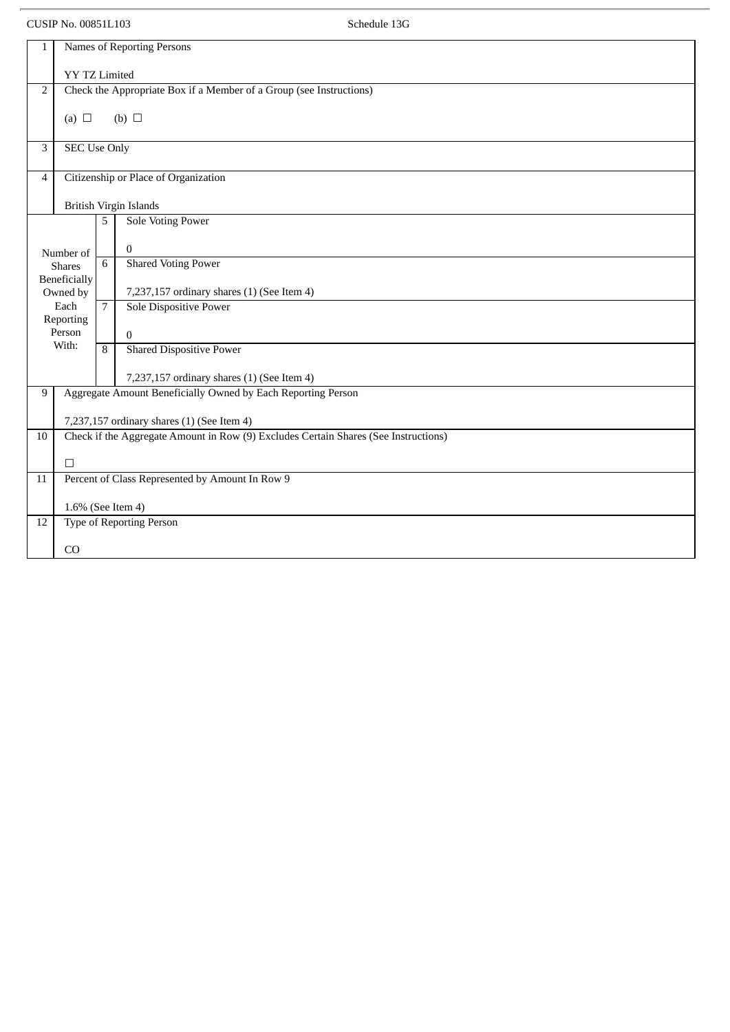CUSIP No. 00851L103 Schedule 13G

| $\mathbf{1}$   | Names of Reporting Persons                                                          |                 |                                                              |  |  |  |  |  |  |
|----------------|-------------------------------------------------------------------------------------|-----------------|--------------------------------------------------------------|--|--|--|--|--|--|
|                | <b>YY TZ Limited</b>                                                                |                 |                                                              |  |  |  |  |  |  |
| 2              | Check the Appropriate Box if a Member of a Group (see Instructions)                 |                 |                                                              |  |  |  |  |  |  |
|                | (b) $\Box$<br>(a) $\Box$                                                            |                 |                                                              |  |  |  |  |  |  |
| 3              | <b>SEC Use Only</b>                                                                 |                 |                                                              |  |  |  |  |  |  |
| $\overline{4}$ | Citizenship or Place of Organization                                                |                 |                                                              |  |  |  |  |  |  |
|                | British Virgin Islands                                                              |                 |                                                              |  |  |  |  |  |  |
|                |                                                                                     | 5               | <b>Sole Voting Power</b>                                     |  |  |  |  |  |  |
|                | Number of                                                                           |                 | $\overline{0}$                                               |  |  |  |  |  |  |
|                | <b>Shares</b><br><b>Beneficially</b>                                                | $6\overline{6}$ | <b>Shared Voting Power</b>                                   |  |  |  |  |  |  |
|                | Owned by                                                                            |                 | 7,237,157 ordinary shares (1) (See Item 4)                   |  |  |  |  |  |  |
|                | Each                                                                                | $\overline{7}$  | Sole Dispositive Power                                       |  |  |  |  |  |  |
|                | Reporting<br>Person                                                                 |                 | $\Omega$                                                     |  |  |  |  |  |  |
|                | With:                                                                               | $\overline{8}$  | <b>Shared Dispositive Power</b>                              |  |  |  |  |  |  |
|                |                                                                                     |                 | 7,237,157 ordinary shares (1) (See Item 4)                   |  |  |  |  |  |  |
| 9              |                                                                                     |                 | Aggregate Amount Beneficially Owned by Each Reporting Person |  |  |  |  |  |  |
|                | 7,237,157 ordinary shares (1) (See Item 4)                                          |                 |                                                              |  |  |  |  |  |  |
| 10             | Check if the Aggregate Amount in Row (9) Excludes Certain Shares (See Instructions) |                 |                                                              |  |  |  |  |  |  |
|                | $\Box$                                                                              |                 |                                                              |  |  |  |  |  |  |
| 11             |                                                                                     |                 | Percent of Class Represented by Amount In Row 9              |  |  |  |  |  |  |
|                | 1.6% (See Item 4)                                                                   |                 |                                                              |  |  |  |  |  |  |
| 12             | <b>Type of Reporting Person</b>                                                     |                 |                                                              |  |  |  |  |  |  |
|                | CO                                                                                  |                 |                                                              |  |  |  |  |  |  |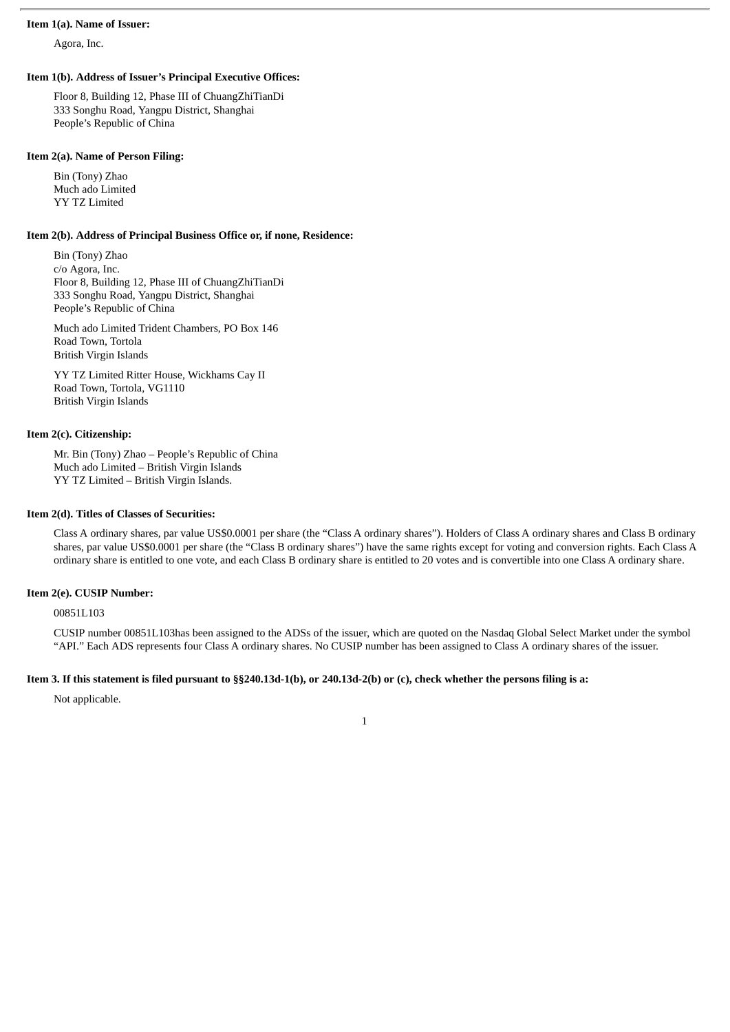#### **Item 1(a). Name of Issuer:**

Agora, Inc.

#### **Item 1(b). Address of Issuer's Principal Executive Offices:**

Floor 8, Building 12, Phase III of ChuangZhiTianDi 333 Songhu Road, Yangpu District, Shanghai People's Republic of China

#### **Item 2(a). Name of Person Filing:**

Bin (Tony) Zhao Much ado Limited YY TZ Limited

#### **Item 2(b). Address of Principal Business Office or, if none, Residence:**

Bin (Tony) Zhao c/o Agora, Inc. Floor 8, Building 12, Phase III of ChuangZhiTianDi 333 Songhu Road, Yangpu District, Shanghai People's Republic of China

Much ado Limited Trident Chambers, PO Box 146 Road Town, Tortola British Virgin Islands

YY TZ Limited Ritter House, Wickhams Cay II Road Town, Tortola, VG1110 British Virgin Islands

#### **Item 2(c). Citizenship:**

Mr. Bin (Tony) Zhao – People's Republic of China Much ado Limited – British Virgin Islands YY TZ Limited – British Virgin Islands.

# **Item 2(d). Titles of Classes of Securities:**

Class A ordinary shares, par value US\$0.0001 per share (the "Class A ordinary shares"). Holders of Class A ordinary shares and Class B ordinary shares, par value US\$0.0001 per share (the "Class B ordinary shares") have the same rights except for voting and conversion rights. Each Class A ordinary share is entitled to one vote, and each Class B ordinary share is entitled to 20 votes and is convertible into one Class A ordinary share.

#### **Item 2(e). CUSIP Number:**

00851L103

CUSIP number 00851L103has been assigned to the ADSs of the issuer, which are quoted on the Nasdaq Global Select Market under the symbol "API." Each ADS represents four Class A ordinary shares. No CUSIP number has been assigned to Class A ordinary shares of the issuer.

#### Item 3. If this statement is filed pursuant to §§240.13d-1(b), or 240.13d-2(b) or (c), check whether the persons filing is a:

Not applicable.

1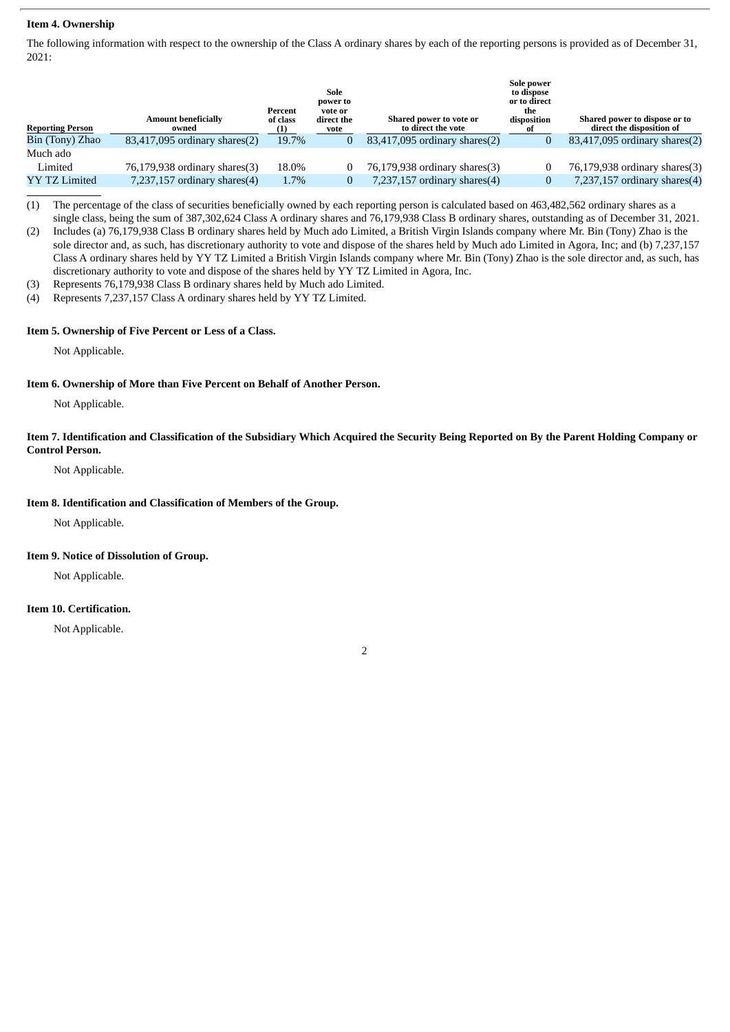### **Item 4. Ownership**

The following information with respect to the ownership of the Class A ordinary shares by each of the reporting persons is provided as of December 31, 2021:

| <b>Reporting Person</b> | <b>Amount beneficially</b><br>owned | Percent<br>of class<br>(1) | Sole<br>power to<br>vote or<br>direct the<br>vote | Shared power to vote or<br>to direct the vote | Sole power<br>to dispose<br>or to direct<br>the<br>disposition<br>0t | Shared power to dispose or to<br>direct the disposition of |
|-------------------------|-------------------------------------|----------------------------|---------------------------------------------------|-----------------------------------------------|----------------------------------------------------------------------|------------------------------------------------------------|
| Bin (Tony) Zhao         | 83,417,095 ordinary shares(2)       | 19.7%                      |                                                   | $83,417,095$ ordinary shares $(2)$            |                                                                      | $83,417,095$ ordinary shares $(2)$                         |
| Much ado                |                                     |                            |                                                   |                                               |                                                                      |                                                            |
| Limited                 | 76,179,938 ordinary shares(3)       | 18.0%                      |                                                   | 76,179,938 ordinary shares(3)                 |                                                                      | 76,179,938 ordinary shares(3)                              |
| <b>YY TZ Limited</b>    | $7,237,157$ ordinary shares $(4)$   | 1.7%                       |                                                   | $7,237,157$ ordinary shares $(4)$             |                                                                      | 7,237,157 ordinary shares $(4)$                            |
|                         |                                     |                            |                                                   |                                               |                                                                      |                                                            |

(1) The percentage of the class of securities beneficially owned by each reporting person is calculated based on 463,482,562 ordinary shares as a single class, being the sum of 387,302,624 Class A ordinary shares and 76,179,938 Class B ordinary shares, outstanding as of December 31, 2021.

(2) Includes (a) 76,179,938 Class B ordinary shares held by Much ado Limited, a British Virgin Islands company where Mr. Bin (Tony) Zhao is the sole director and, as such, has discretionary authority to vote and dispose of the shares held by Much ado Limited in Agora, Inc; and (b) 7,237,157 Class A ordinary shares held by YY TZ Limited a British Virgin Islands company where Mr. Bin (Tony) Zhao is the sole director and, as such, has discretionary authority to vote and dispose of the shares held by YY TZ Limited in Agora, Inc.

(3) Represents 76,179,938 Class B ordinary shares held by Much ado Limited.

(4) Represents 7,237,157 Class A ordinary shares held by YY TZ Limited.

# **Item 5. Ownership of Five Percent or Less of a Class.**

Not Applicable.

#### **Item 6. Ownership of More than Five Percent on Behalf of Another Person.**

Not Applicable.

Item 7. Identification and Classification of the Subsidiary Which Acquired the Security Being Reported on By the Parent Holding Company or **Control Person.**

Not Applicable.

# **Item 8. Identification and Classification of Members of the Group.**

Not Applicable.

#### **Item 9. Notice of Dissolution of Group.**

Not Applicable.

# **Item 10. Certification.**

Not Applicable.

2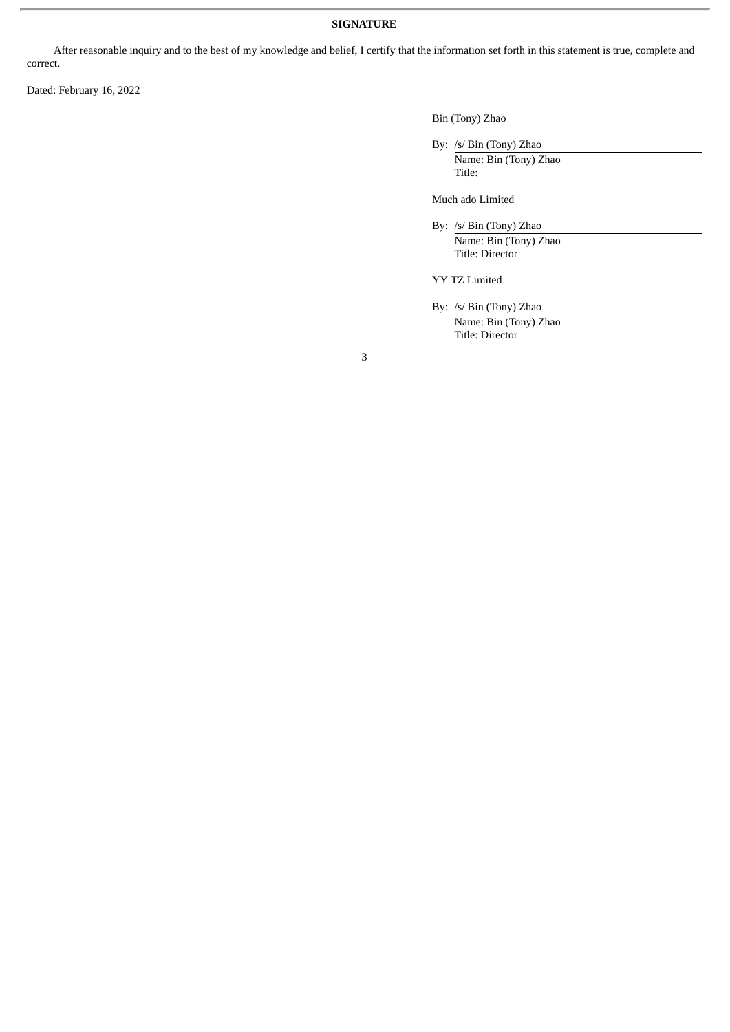# **SIGNATURE**

After reasonable inquiry and to the best of my knowledge and belief, I certify that the information set forth in this statement is true, complete and correct.

Dated: February 16, 2022

Bin (Tony) Zhao

By: /s/ Bin (Tony) Zhao Name: Bin (Tony) Zhao Title:

Much ado Limited

By: /s/ Bin (Tony) Zhao

Name: Bin (Tony) Zhao Title: Director

YY TZ Limited

By: /s/ Bin (Tony) Zhao

Name: Bin (Tony) Zhao Title: Director

3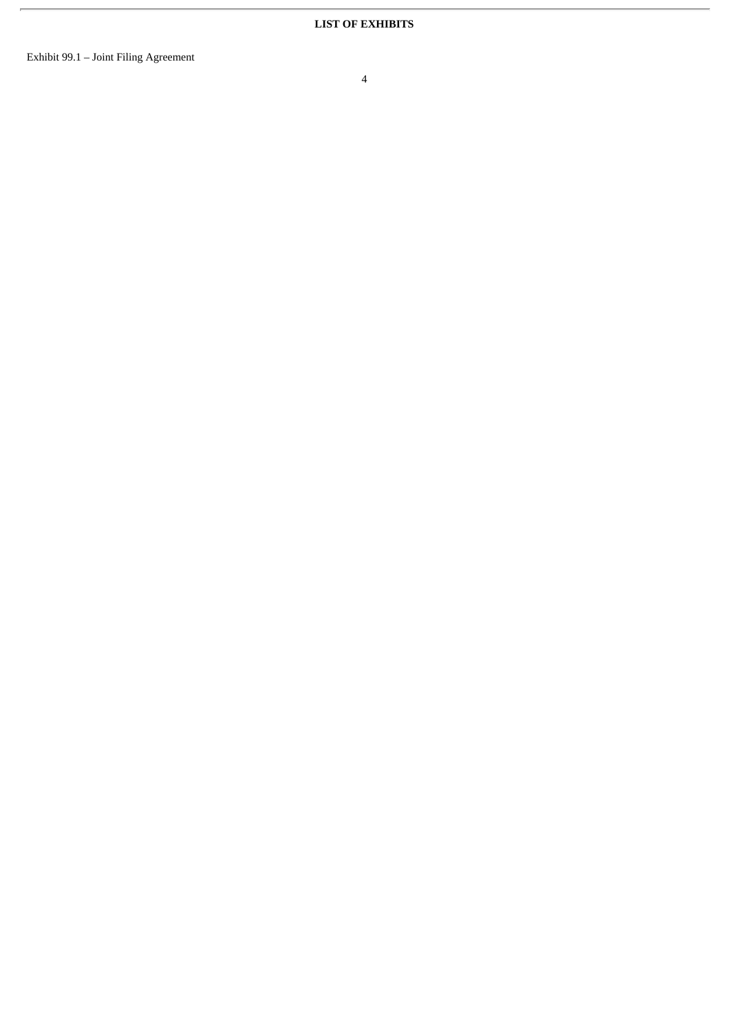$\overline{r}$